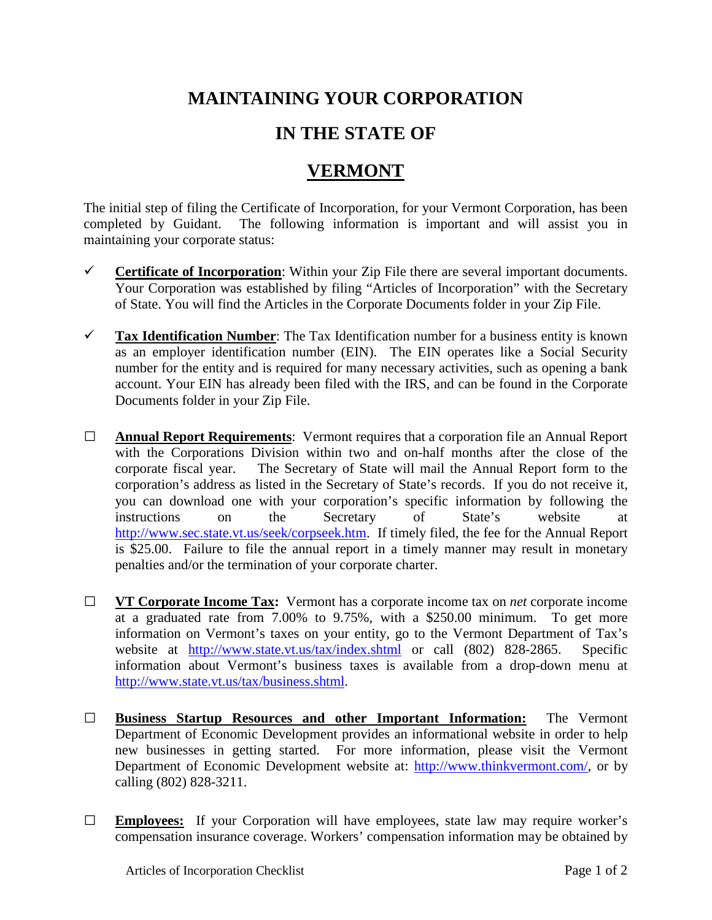## **MAINTAINING YOUR CORPORATION**

## **IN THE STATE OF**

## **VERMONT**

The initial step of filing the Certificate of Incorporation, for your Vermont Corporation, has been completed by Guidant. The following information is important and will assist you in maintaining your corporate status:

- **Certificate of Incorporation**: Within your Zip File there are several important documents. Your Corporation was established by filing "Articles of Incorporation" with the Secretary of State. You will find the Articles in the Corporate Documents folder in your Zip File.
- **Tax Identification Number**: The Tax Identification number for a business entity is known as an employer identification number (EIN). The EIN operates like a Social Security number for the entity and is required for many necessary activities, such as opening a bank account. Your EIN has already been filed with the IRS, and can be found in the Corporate Documents folder in your Zip File.
- **□ Annual Report Requirements**: Vermont requires that a corporation file an Annual Report with the Corporations Division within two and on-half months after the close of the corporate fiscal year. The Secretary of State will mail the Annual Report form to the corporation's address as listed in the Secretary of State's records. If you do not receive it, you can download one with your corporation's specific information by following the instructions on the Secretary of State's website at [http://www.sec.state.vt.us/seek/corpseek.htm.](http://www.sec.state.vt.us/seek/corpseek.htm) If timely filed, the fee for the Annual Report is \$25.00. Failure to file the annual report in a timely manner may result in monetary penalties and/or the termination of your corporate charter.
- **□ VT Corporate Income Tax:** Vermont has a corporate income tax on *net* corporate income at a graduated rate from 7.00% to 9.75%, with a \$250.00 minimum. To get more information on Vermont's taxes on your entity, go to the Vermont Department of Tax's website at <http://www.state.vt.us/tax/index.shtml> or call (802) 828-2865. Specific information about Vermont's business taxes is available from a drop-down menu at [http://www.state.vt.us/tax/business.shtml.](http://www.state.vt.us/tax/business.shtml)
- **□ Business Startup Resources and other Important Information:** The Vermont Department of Economic Development provides an informational website in order to help new businesses in getting started. For more information, please visit the Vermont Department of Economic Development website at: [http://www.thinkvermont.com/,](http://www.thinkvermont.com/) or by calling (802) 828-3211.
- **□ Employees:** If your Corporation will have employees, state law may require worker's compensation insurance coverage. Workers' compensation information may be obtained by